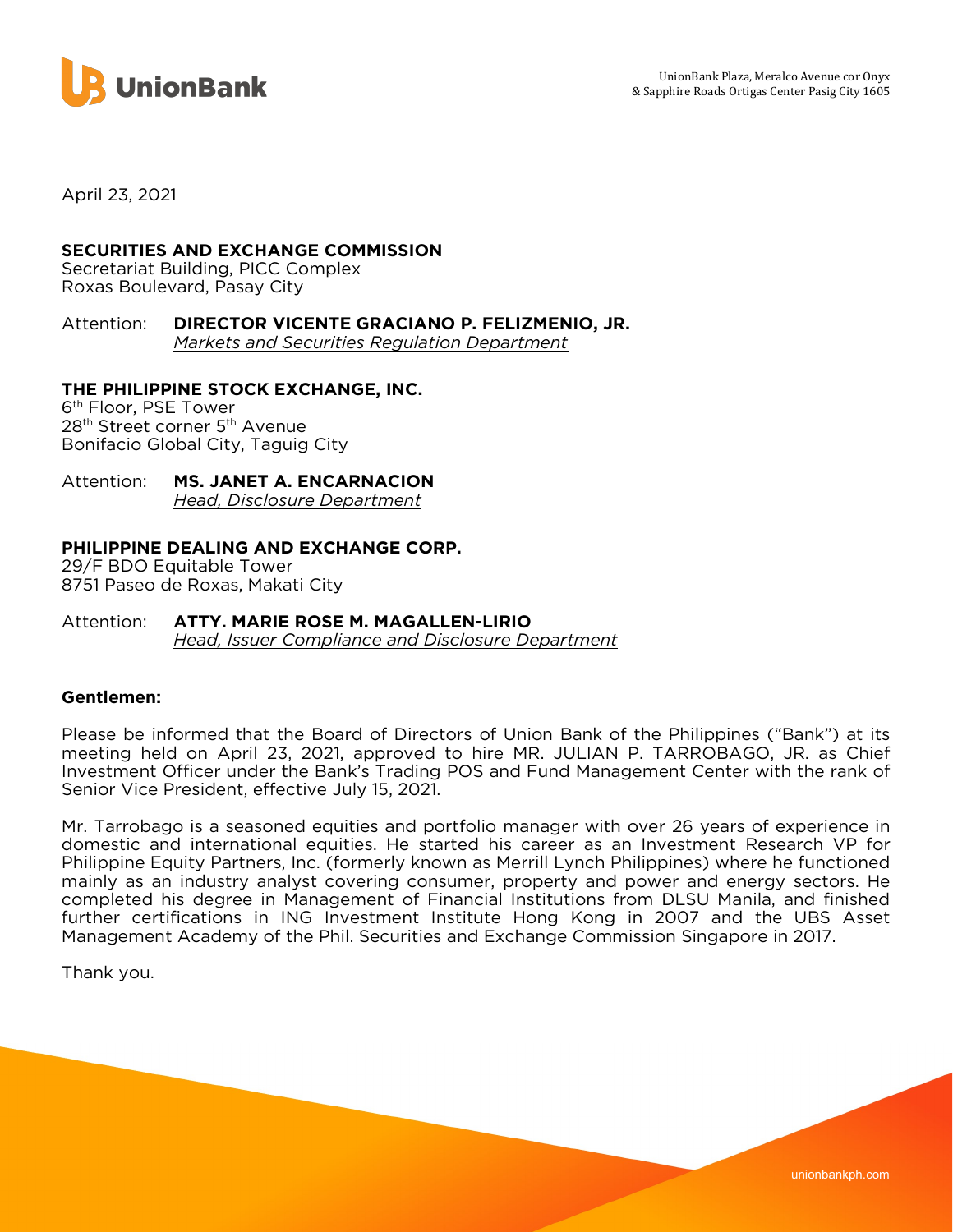

April 23, 2021

# SECURITIES AND EXCHANGE COMMISSION

Secretariat Building, PICC Complex Roxas Boulevard, Pasay City

Attention: DIRECTOR VICENTE GRACIANO P. FELIZMENIO, JR. Markets and Securities Regulation Department

# THE PHILIPPINE STOCK EXCHANGE, INC.

6 th Floor, PSE Tower 28<sup>th</sup> Street corner 5<sup>th</sup> Avenue Bonifacio Global City, Taguig City

#### Attention: MS. JANET A. ENCARNACION Head, Disclosure Department

### PHILIPPINE DEALING AND EXCHANGE CORP.

29/F BDO Equitable Tower 8751 Paseo de Roxas, Makati City

#### Attention: ATTY. MARIE ROSE M. MAGALLEN-LIRIO Head, Issuer Compliance and Disclosure Department

### Gentlemen:

Please be informed that the Board of Directors of Union Bank of the Philippines ("Bank") at its meeting held on April 23, 2021, approved to hire MR. JULIAN P. TARROBAGO, JR. as Chief Investment Officer under the Bank's Trading POS and Fund Management Center with the rank of Senior Vice President, effective July 15, 2021.

Mr. Tarrobago is a seasoned equities and portfolio manager with over 26 years of experience in domestic and international equities. He started his career as an Investment Research VP for Philippine Equity Partners, Inc. (formerly known as Merrill Lynch Philippines) where he functioned mainly as an industry analyst covering consumer, property and power and energy sectors. He completed his degree in Management of Financial Institutions from DLSU Manila, and finished further certifications in ING Investment Institute Hong Kong in 2007 and the UBS Asset Management Academy of the Phil. Securities and Exchange Commission Singapore in 2017.

Thank you.

unionbankph.com